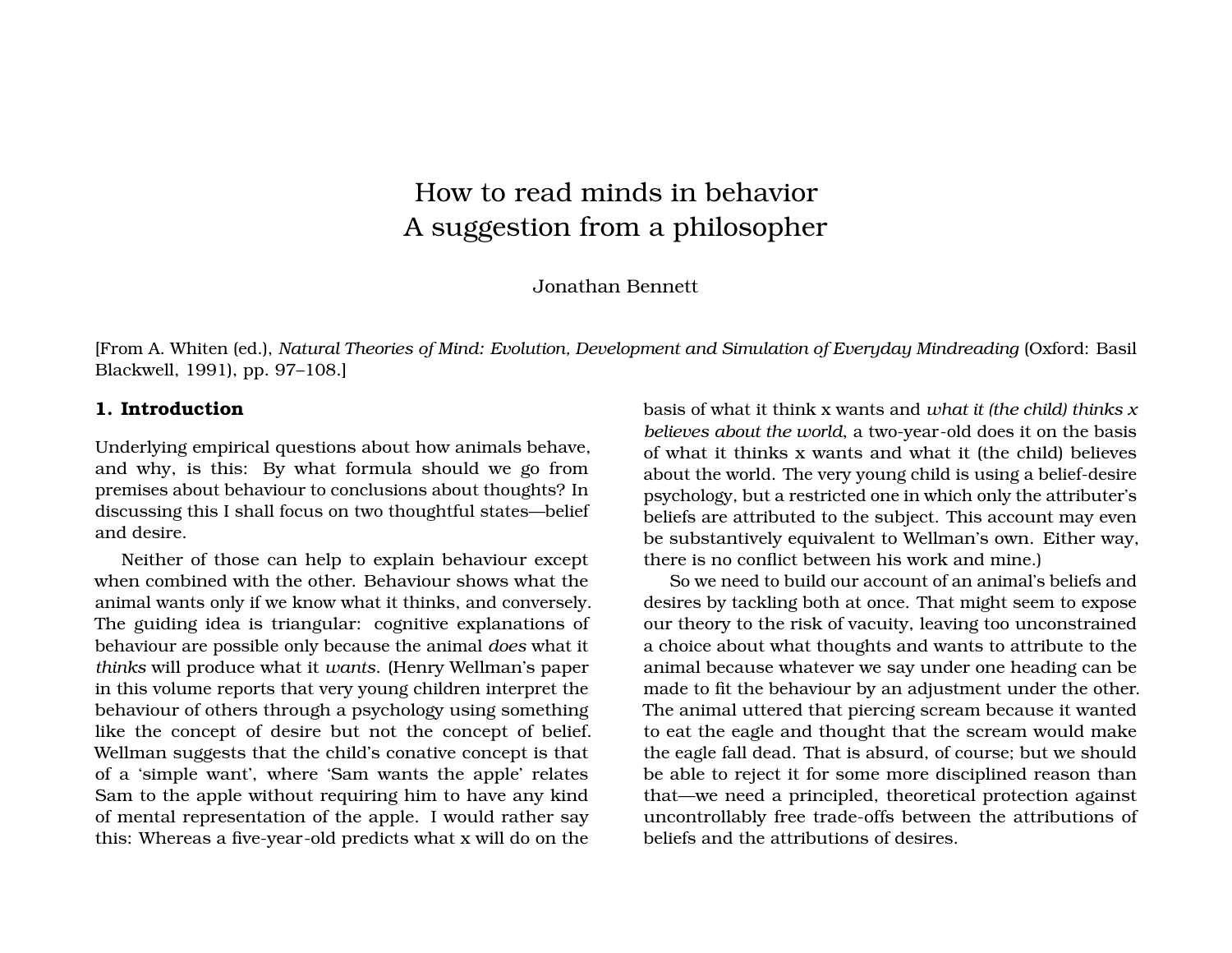# How to read minds in behavior A suggestion from a philosopher

Jonathan Bennett

[From A. Whiten (ed.), *Natural Theories of Mind: Evolution, Development and Simulation of Everyday Mindreading* (Oxford: Basil Blackwell, 1991), pp. 97–108.]

### **1. Introduction**

Underlying empirical questions about how animals behave, and why, is this: By what formula should we go from premises about behaviour to conclusions about thoughts? In discussing this I shall focus on two thoughtful states—belief and desire.

Neither of those can help to explain behaviour except when combined with the other. Behaviour shows what the animal wants only if we know what it thinks, and conversely. The guiding idea is triangular: cognitive explanations of behaviour are possible only because the animal *does* what it *thinks* will produce what it *wants*. (Henry Wellman's paper in this volume reports that very young children interpret the behaviour of others through a psychology using something like the concept of desire but not the concept of belief. Wellman suggests that the child's conative concept is that of a 'simple want', where 'Sam wants the apple' relates Sam to the apple without requiring him to have any kind of mental representation of the apple. I would rather say this: Whereas a five-year-old predicts what x will do on the

basis of what it think x wants and *what it (the child) thinks x believes about the world*, a two-year-old does it on the basis of what it thinks x wants and what it (the child) believes about the world. The very young child is using a belief-desire psychology, but a restricted one in which only the attributer's beliefs are attributed to the subject. This account may even be substantively equivalent to Wellman's own. Either way, there is no conflict between his work and mine.)

So we need to build our account of an animal's beliefs and desires by tackling both at once. That might seem to expose our theory to the risk of vacuity, leaving too unconstrained a choice about what thoughts and wants to attribute to the animal because whatever we say under one heading can be made to fit the behaviour by an adjustment under the other. The animal uttered that piercing scream because it wanted to eat the eagle and thought that the scream would make the eagle fall dead. That is absurd, of course; but we should be able to reject it for some more disciplined reason than that—we need a principled, theoretical protection against uncontrollably free trade-offs between the attributions of beliefs and the attributions of desires.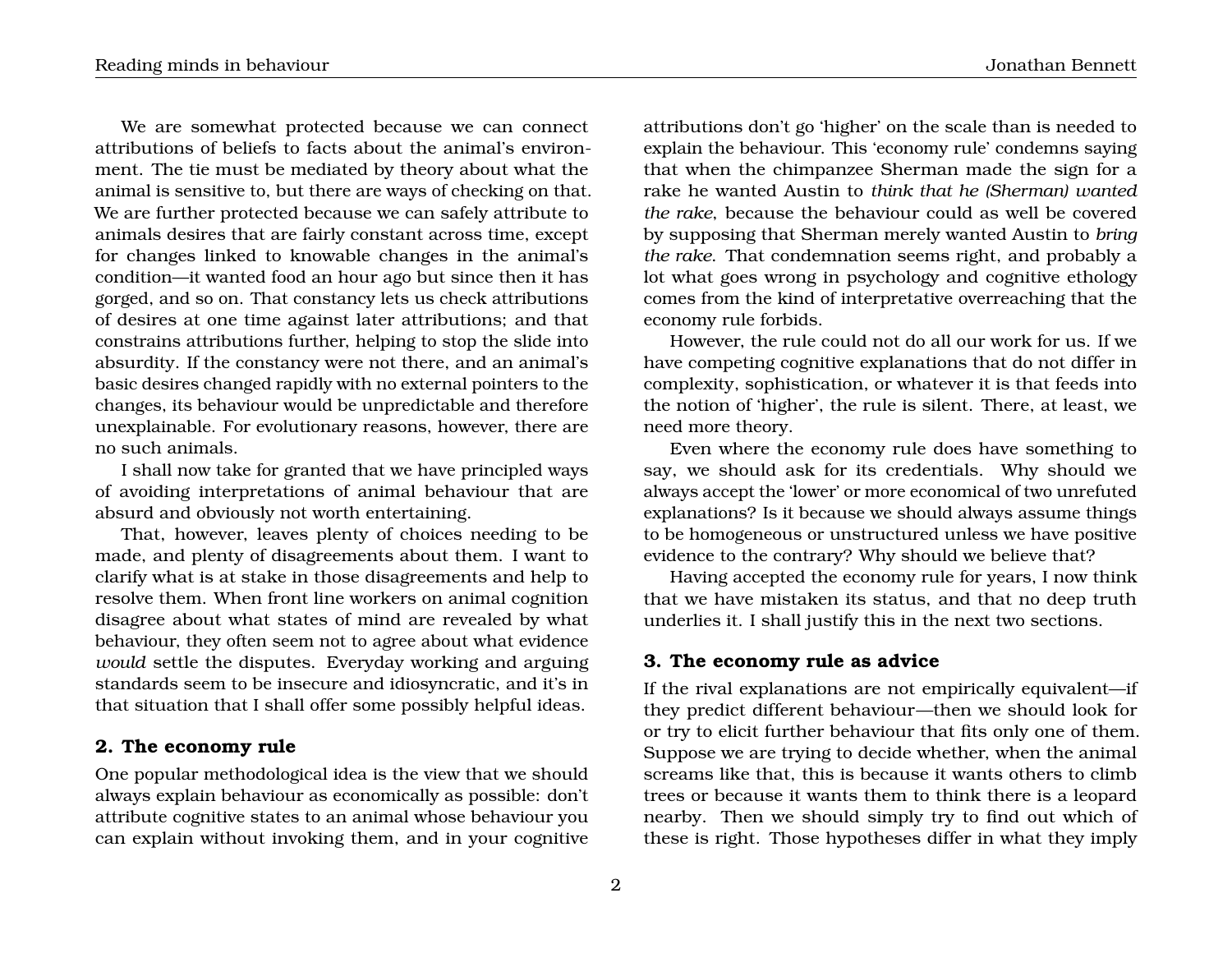We are somewhat protected because we can connect attributions of beliefs to facts about the animal's environment. The tie must be mediated by theory about what the animal is sensitive to, but there are ways of checking on that. We are further protected because we can safely attribute to animals desires that are fairly constant across time, except for changes linked to knowable changes in the animal's condition—it wanted food an hour ago but since then it has gorged, and so on. That constancy lets us check attributions of desires at one time against later attributions; and that constrains attributions further, helping to stop the slide into absurdity. If the constancy were not there, and an animal's basic desires changed rapidly with no external pointers to the changes, its behaviour would be unpredictable and therefore unexplainable. For evolutionary reasons, however, there are no such animals.

I shall now take for granted that we have principled ways of avoiding interpretations of animal behaviour that are absurd and obviously not worth entertaining.

That, however, leaves plenty of choices needing to be made, and plenty of disagreements about them. I want to clarify what is at stake in those disagreements and help to resolve them. When front line workers on animal cognition disagree about what states of mind are revealed by what behaviour, they often seem not to agree about what evidence *would* settle the disputes. Everyday working and arguing standards seem to be insecure and idiosyncratic, and it's in that situation that I shall offer some possibly helpful ideas.

# **2. The economy rule**

One popular methodological idea is the view that we should always explain behaviour as economically as possible: don't attribute cognitive states to an animal whose behaviour you can explain without invoking them, and in your cognitive

attributions don't go 'higher' on the scale than is needed to explain the behaviour. This 'economy rule' condemns saying that when the chimpanzee Sherman made the sign for a rake he wanted Austin to *think that he (Sherman) wanted the rake*, because the behaviour could as well be covered by supposing that Sherman merely wanted Austin to *bring the rake*. That condemnation seems right, and probably a lot what goes wrong in psychology and cognitive ethology comes from the kind of interpretative overreaching that the economy rule forbids.

However, the rule could not do all our work for us. If we have competing cognitive explanations that do not differ in complexity, sophistication, or whatever it is that feeds into the notion of 'higher', the rule is silent. There, at least, we need more theory.

Even where the economy rule does have something to say, we should ask for its credentials. Why should we always accept the 'lower' or more economical of two unrefuted explanations? Is it because we should always assume things to be homogeneous or unstructured unless we have positive evidence to the contrary? Why should we believe that?

Having accepted the economy rule for years, I now think that we have mistaken its status, and that no deep truth underlies it. I shall justify this in the next two sections.

# **3. The economy rule as advice**

If the rival explanations are not empirically equivalent—if they predict different behaviour—then we should look for or try to elicit further behaviour that fits only one of them. Suppose we are trying to decide whether, when the animal screams like that, this is because it wants others to climb trees or because it wants them to think there is a leopard nearby. Then we should simply try to find out which of these is right. Those hypotheses differ in what they imply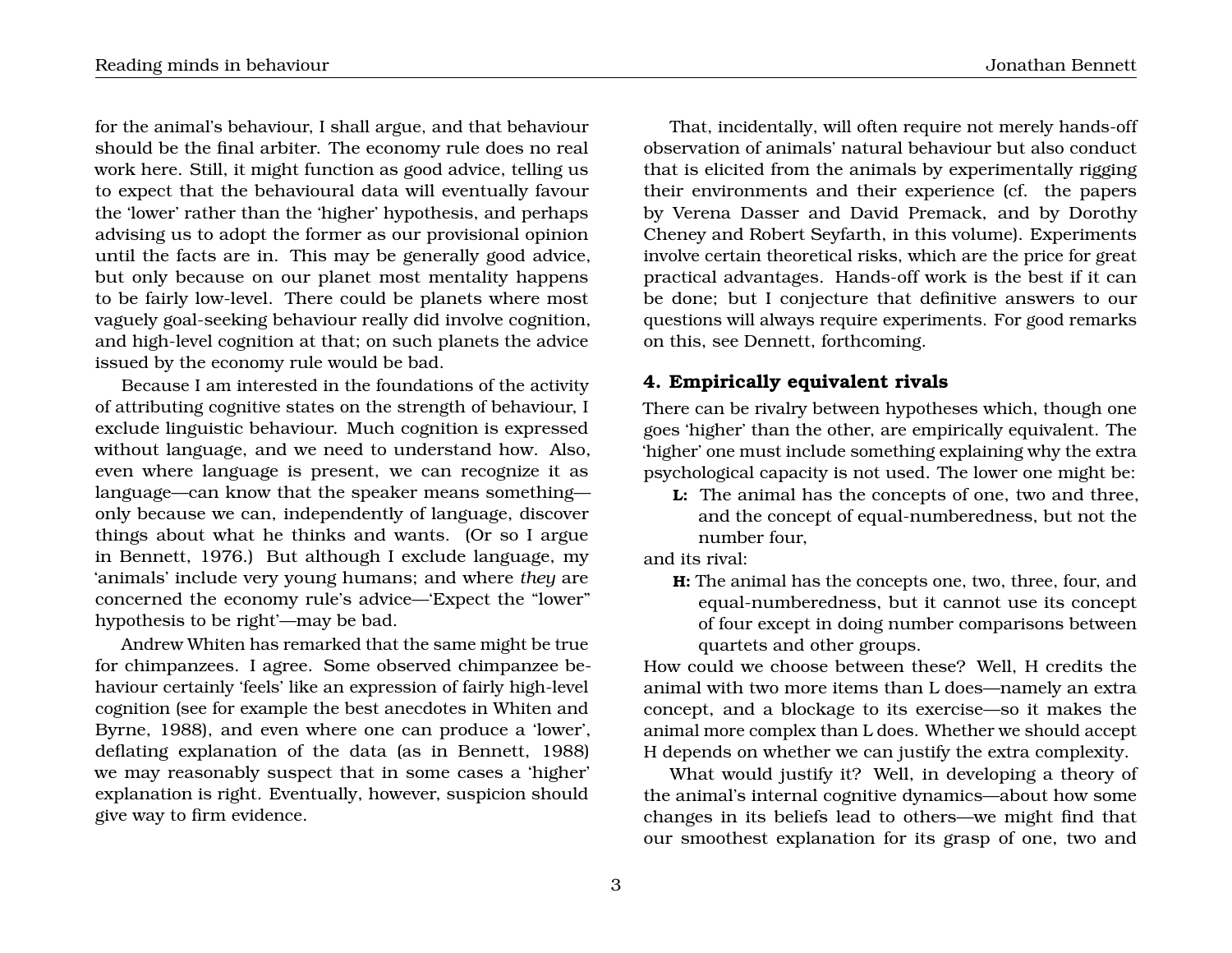for the animal's behaviour, I shall argue, and that behaviour should be the final arbiter. The economy rule does no real work here. Still, it might function as good advice, telling us to expect that the behavioural data will eventually favour the 'lower' rather than the 'higher' hypothesis, and perhaps advising us to adopt the former as our provisional opinion until the facts are in. This may be generally good advice, but only because on our planet most mentality happens to be fairly low-level. There could be planets where most vaguely goal-seeking behaviour really did involve cognition, and high-level cognition at that; on such planets the advice issued by the economy rule would be bad.

Because I am interested in the foundations of the activity of attributing cognitive states on the strength of behaviour, I exclude linguistic behaviour. Much cognition is expressed without language, and we need to understand how. Also, even where language is present, we can recognize it as language—can know that the speaker means something only because we can, independently of language, discover things about what he thinks and wants. (Or so I argue in Bennett, 1976.) But although I exclude language, my 'animals' include very young humans; and where *they* are concerned the economy rule's advice—'Expect the "lower" hypothesis to be right'—may be bad.

Andrew Whiten has remarked that the same might be true for chimpanzees. I agree. Some observed chimpanzee behaviour certainly 'feels' like an expression of fairly high-level cognition (see for example the best anecdotes in Whiten and Byrne, 1988), and even where one can produce a 'lower', deflating explanation of the data (as in Bennett, 1988) we may reasonably suspect that in some cases a 'higher' explanation is right. Eventually, however, suspicion should give way to firm evidence.

That, incidentally, will often require not merely hands-off observation of animals' natural behaviour but also conduct that is elicited from the animals by experimentally rigging their environments and their experience (cf. the papers by Verena Dasser and David Premack, and by Dorothy Cheney and Robert Seyfarth, in this volume). Experiments involve certain theoretical risks, which are the price for great practical advantages. Hands-off work is the best if it can be done; but I conjecture that definitive answers to our questions will always require experiments. For good remarks on this, see Dennett, forthcoming.

# **4. Empirically equivalent rivals**

There can be rivalry between hypotheses which, though one goes 'higher' than the other, are empirically equivalent. The 'higher' one must include something explaining why the extra psychological capacity is not used. The lower one might be:

**L:** The animal has the concepts of one, two and three, and the concept of equal-numberedness, but not the number four,

and its rival:

**H:** The animal has the concepts one, two, three, four, and equal-numberedness, but it cannot use its concept of four except in doing number comparisons between quartets and other groups.

How could we choose between these? Well, H credits the animal with two more items than L does—namely an extra concept, and a blockage to its exercise—so it makes the animal more complex than L does. Whether we should accept H depends on whether we can justify the extra complexity.

What would justify it? Well, in developing a theory of the animal's internal cognitive dynamics—about how some changes in its beliefs lead to others—we might find that our smoothest explanation for its grasp of one, two and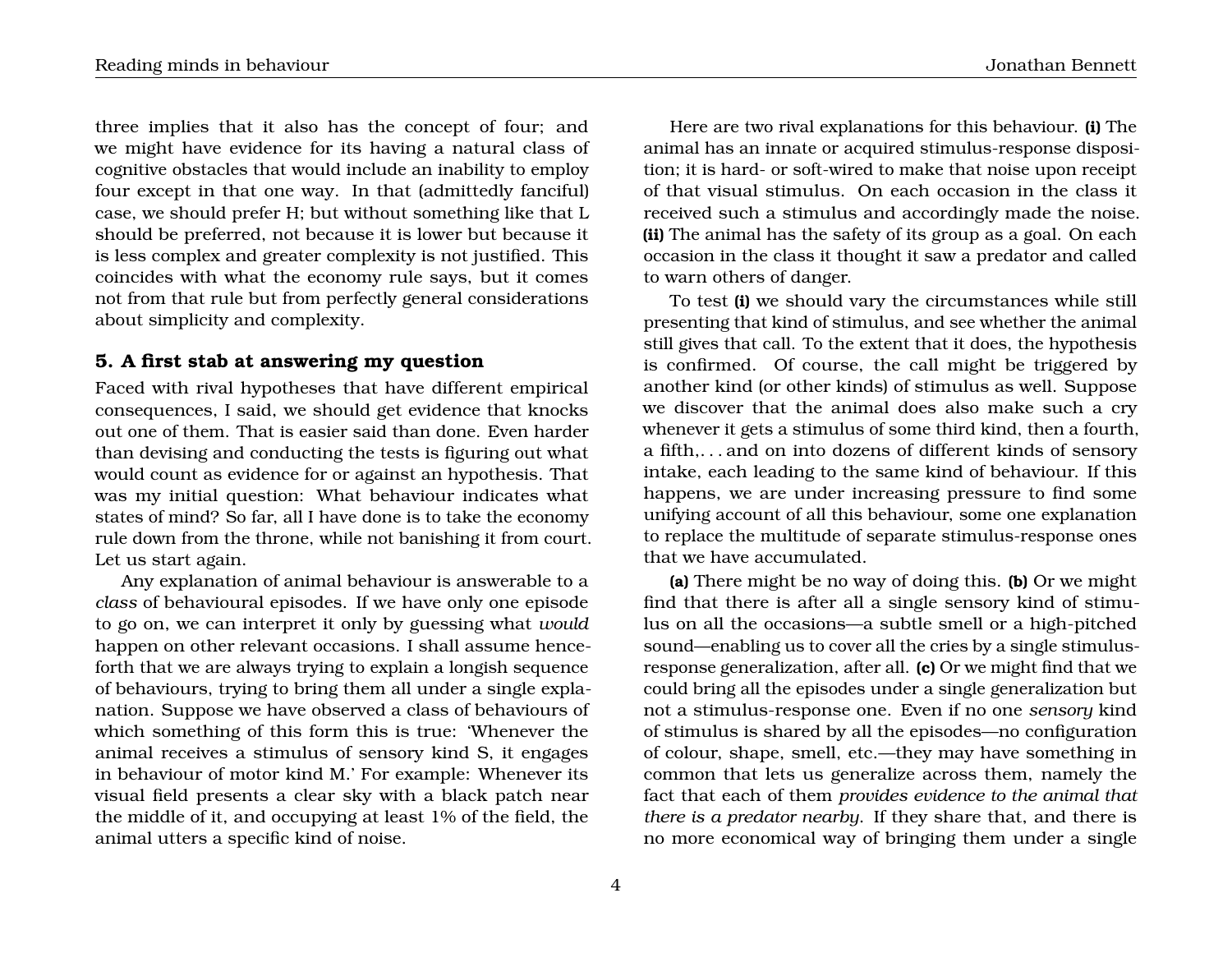three implies that it also has the concept of four; and we might have evidence for its having a natural class of cognitive obstacles that would include an inability to employ four except in that one way. In that (admittedly fanciful) case, we should prefer H; but without something like that L should be preferred, not because it is lower but because it is less complex and greater complexity is not justified. This coincides with what the economy rule says, but it comes not from that rule but from perfectly general considerations about simplicity and complexity.

# **5. A first stab at answering my question**

Faced with rival hypotheses that have different empirical consequences, I said, we should get evidence that knocks out one of them. That is easier said than done. Even harder than devising and conducting the tests is figuring out what would count as evidence for or against an hypothesis. That was my initial question: What behaviour indicates what states of mind? So far, all I have done is to take the economy rule down from the throne, while not banishing it from court. Let us start again.

Any explanation of animal behaviour is answerable to a *class* of behavioural episodes. If we have only one episode to go on, we can interpret it only by guessing what *would* happen on other relevant occasions. I shall assume henceforth that we are always trying to explain a longish sequence of behaviours, trying to bring them all under a single explanation. Suppose we have observed a class of behaviours of which something of this form this is true: 'Whenever the animal receives a stimulus of sensory kind S, it engages in behaviour of motor kind M.' For example: Whenever its visual field presents a clear sky with a black patch near the middle of it, and occupying at least 1% of the field, the animal utters a specific kind of noise.

Here are two rival explanations for this behaviour. **(i)** The animal has an innate or acquired stimulus-response disposition; it is hard- or soft-wired to make that noise upon receipt of that visual stimulus. On each occasion in the class it received such a stimulus and accordingly made the noise. **(ii)** The animal has the safety of its group as a goal. On each occasion in the class it thought it saw a predator and called to warn others of danger.

To test **(i)** we should vary the circumstances while still presenting that kind of stimulus, and see whether the animal still gives that call. To the extent that it does, the hypothesis is confirmed. Of course, the call might be triggered by another kind (or other kinds) of stimulus as well. Suppose we discover that the animal does also make such a cry whenever it gets a stimulus of some third kind, then a fourth, a fifth,. . . and on into dozens of different kinds of sensory intake, each leading to the same kind of behaviour. If this happens, we are under increasing pressure to find some unifying account of all this behaviour, some one explanation to replace the multitude of separate stimulus-response ones that we have accumulated.

**(a)** There might be no way of doing this. **(b)** Or we might find that there is after all a single sensory kind of stimulus on all the occasions—a subtle smell or a high-pitched sound—enabling us to cover all the cries by a single stimulusresponse generalization, after all. **(c)** Or we might find that we could bring all the episodes under a single generalization but not a stimulus-response one. Even if no one *sensory* kind of stimulus is shared by all the episodes—no configuration of colour, shape, smell, etc.—they may have something in common that lets us generalize across them, namely the fact that each of them *provides evidence to the animal that there is a predator nearby*. If they share that, and there is no more economical way of bringing them under a single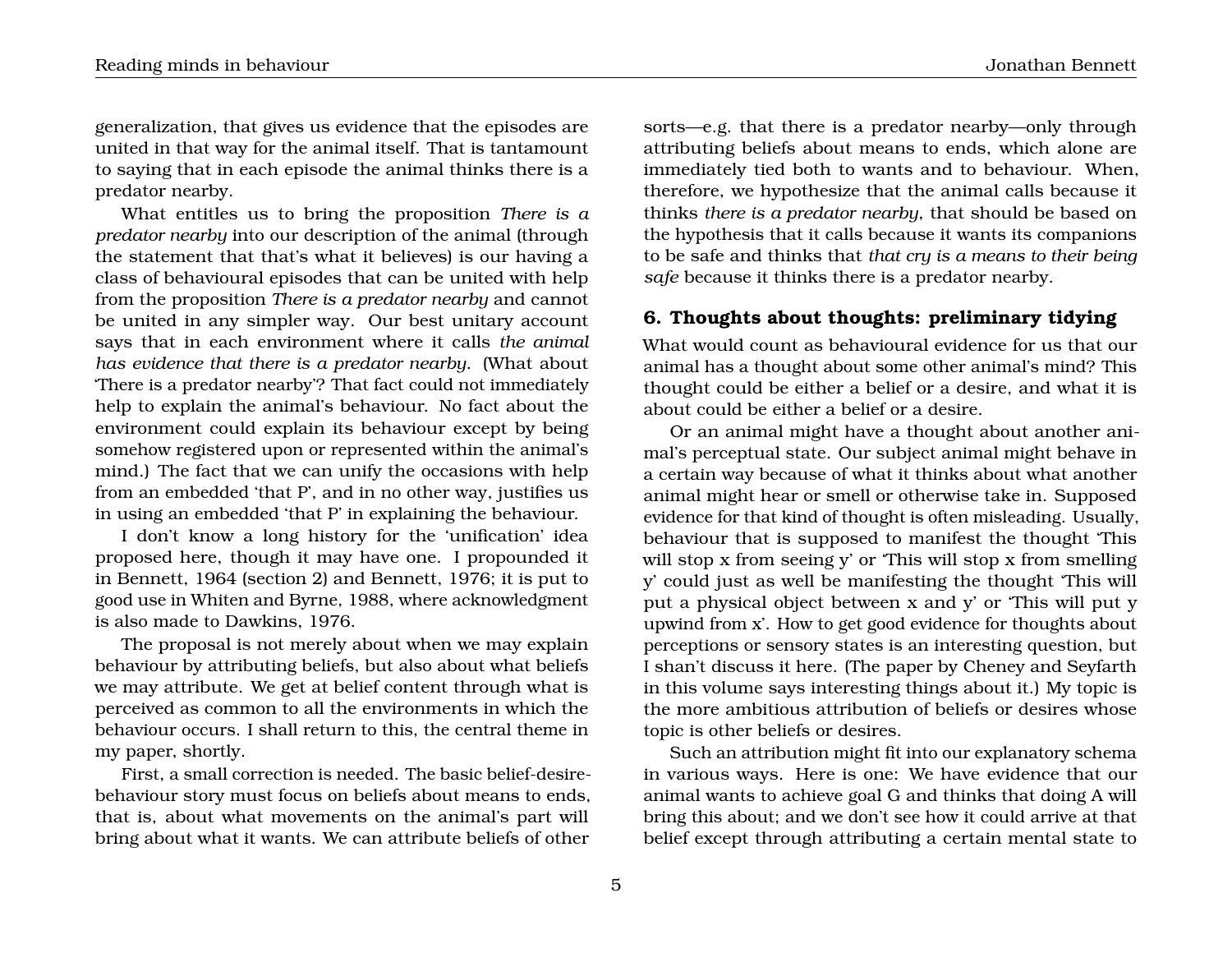generalization, that gives us evidence that the episodes are united in that way for the animal itself. That is tantamount to saying that in each episode the animal thinks there is a predator nearby.

What entitles us to bring the proposition *There is a predator nearby* into our description of the animal (through the statement that that's what it believes) is our having a class of behavioural episodes that can be united with help from the proposition *There is a predator nearby* and cannot be united in any simpler way. Our best unitary account says that in each environment where it calls *the animal has evidence that there is a predator nearby*. (What about 'There is a predator nearby'? That fact could not immediately help to explain the animal's behaviour. No fact about the environment could explain its behaviour except by being somehow registered upon or represented within the animal's mind.) The fact that we can unify the occasions with help from an embedded 'that P', and in no other way, justifies us in using an embedded 'that P' in explaining the behaviour.

I don't know a long history for the 'unification' idea proposed here, though it may have one. I propounded it in Bennett, 1964 (section 2) and Bennett, 1976; it is put to good use in Whiten and Byrne, 1988, where acknowledgment is also made to Dawkins, 1976.

The proposal is not merely about when we may explain behaviour by attributing beliefs, but also about what beliefs we may attribute. We get at belief content through what is perceived as common to all the environments in which the behaviour occurs. I shall return to this, the central theme in my paper, shortly.

First, a small correction is needed. The basic belief-desirebehaviour story must focus on beliefs about means to ends, that is, about what movements on the animal's part will bring about what it wants. We can attribute beliefs of other

sorts—e.g. that there is a predator nearby—only through attributing beliefs about means to ends, which alone are immediately tied both to wants and to behaviour. When, therefore, we hypothesize that the animal calls because it thinks *there is a predator nearby*, that should be based on the hypothesis that it calls because it wants its companions to be safe and thinks that *that cry is a means to their being safe* because it thinks there is a predator nearby.

# **6. Thoughts about thoughts: preliminary tidying**

What would count as behavioural evidence for us that our animal has a thought about some other animal's mind? This thought could be either a belief or a desire, and what it is about could be either a belief or a desire.

Or an animal might have a thought about another animal's perceptual state. Our subject animal might behave in a certain way because of what it thinks about what another animal might hear or smell or otherwise take in. Supposed evidence for that kind of thought is often misleading. Usually, behaviour that is supposed to manifest the thought 'This will stop x from seeing y' or 'This will stop x from smelling y' could just as well be manifesting the thought 'This will put a physical object between x and y' or 'This will put y upwind from x'. How to get good evidence for thoughts about perceptions or sensory states is an interesting question, but I shan't discuss it here. (The paper by Cheney and Seyfarth in this volume says interesting things about it.) My topic is the more ambitious attribution of beliefs or desires whose topic is other beliefs or desires.

Such an attribution might fit into our explanatory schema in various ways. Here is one: We have evidence that our animal wants to achieve goal G and thinks that doing A will bring this about; and we don't see how it could arrive at that belief except through attributing a certain mental state to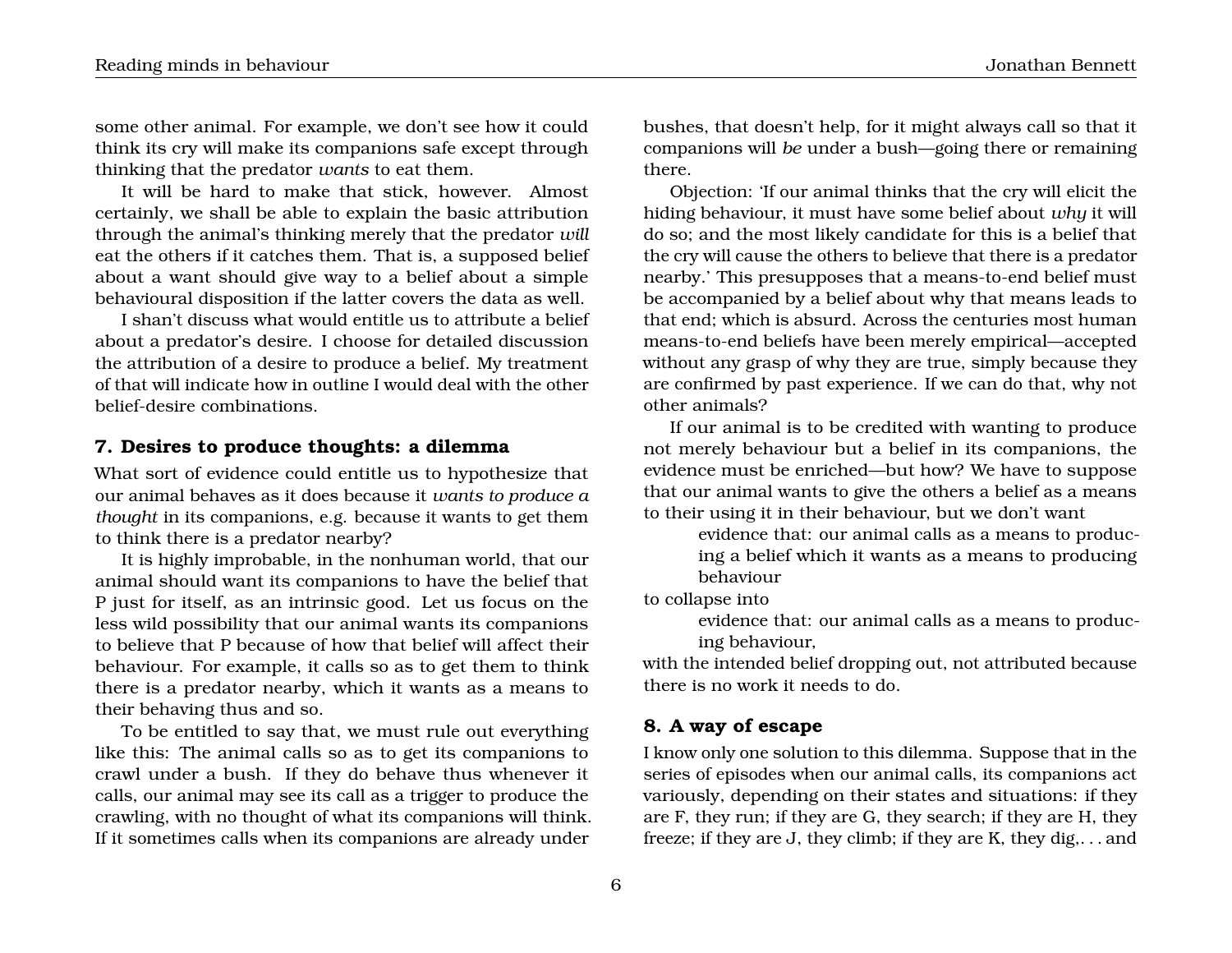some other animal. For example, we don't see how it could think its cry will make its companions safe except through thinking that the predator *wants* to eat them.

It will be hard to make that stick, however. Almost certainly, we shall be able to explain the basic attribution through the animal's thinking merely that the predator *will* eat the others if it catches them. That is, a supposed belief about a want should give way to a belief about a simple behavioural disposition if the latter covers the data as well.

I shan't discuss what would entitle us to attribute a belief about a predator's desire. I choose for detailed discussion the attribution of a desire to produce a belief. My treatment of that will indicate how in outline I would deal with the other belief-desire combinations.

### **7. Desires to produce thoughts: a dilemma**

What sort of evidence could entitle us to hypothesize that our animal behaves as it does because it *wants to produce a thought* in its companions, e.g. because it wants to get them to think there is a predator nearby?

It is highly improbable, in the nonhuman world, that our animal should want its companions to have the belief that P just for itself, as an intrinsic good. Let us focus on the less wild possibility that our animal wants its companions to believe that P because of how that belief will affect their behaviour. For example, it calls so as to get them to think there is a predator nearby, which it wants as a means to their behaving thus and so.

To be entitled to say that, we must rule out everything like this: The animal calls so as to get its companions to crawl under a bush. If they do behave thus whenever it calls, our animal may see its call as a trigger to produce the crawling, with no thought of what its companions will think. If it sometimes calls when its companions are already under bushes, that doesn't help, for it might always call so that it companions will *be* under a bush—going there or remaining there.

Objection: 'If our animal thinks that the cry will elicit the hiding behaviour, it must have some belief about *why* it will do so; and the most likely candidate for this is a belief that the cry will cause the others to believe that there is a predator nearby.' This presupposes that a means-to-end belief must be accompanied by a belief about why that means leads to that end; which is absurd. Across the centuries most human means-to-end beliefs have been merely empirical—accepted without any grasp of why they are true, simply because they are confirmed by past experience. If we can do that, why not other animals?

If our animal is to be credited with wanting to produce not merely behaviour but a belief in its companions, the evidence must be enriched—but how? We have to suppose that our animal wants to give the others a belief as a means to their using it in their behaviour, but we don't want

> evidence that: our animal calls as a means to producing a belief which it wants as a means to producing behaviour

to collapse into

evidence that: our animal calls as a means to producing behaviour,

with the intended belief dropping out, not attributed because there is no work it needs to do.

# **8. A way of escape**

I know only one solution to this dilemma. Suppose that in the series of episodes when our animal calls, its companions act variously, depending on their states and situations: if they are F, they run; if they are G, they search; if they are H, they freeze; if they are J, they climb; if they are K, they dig,. . . and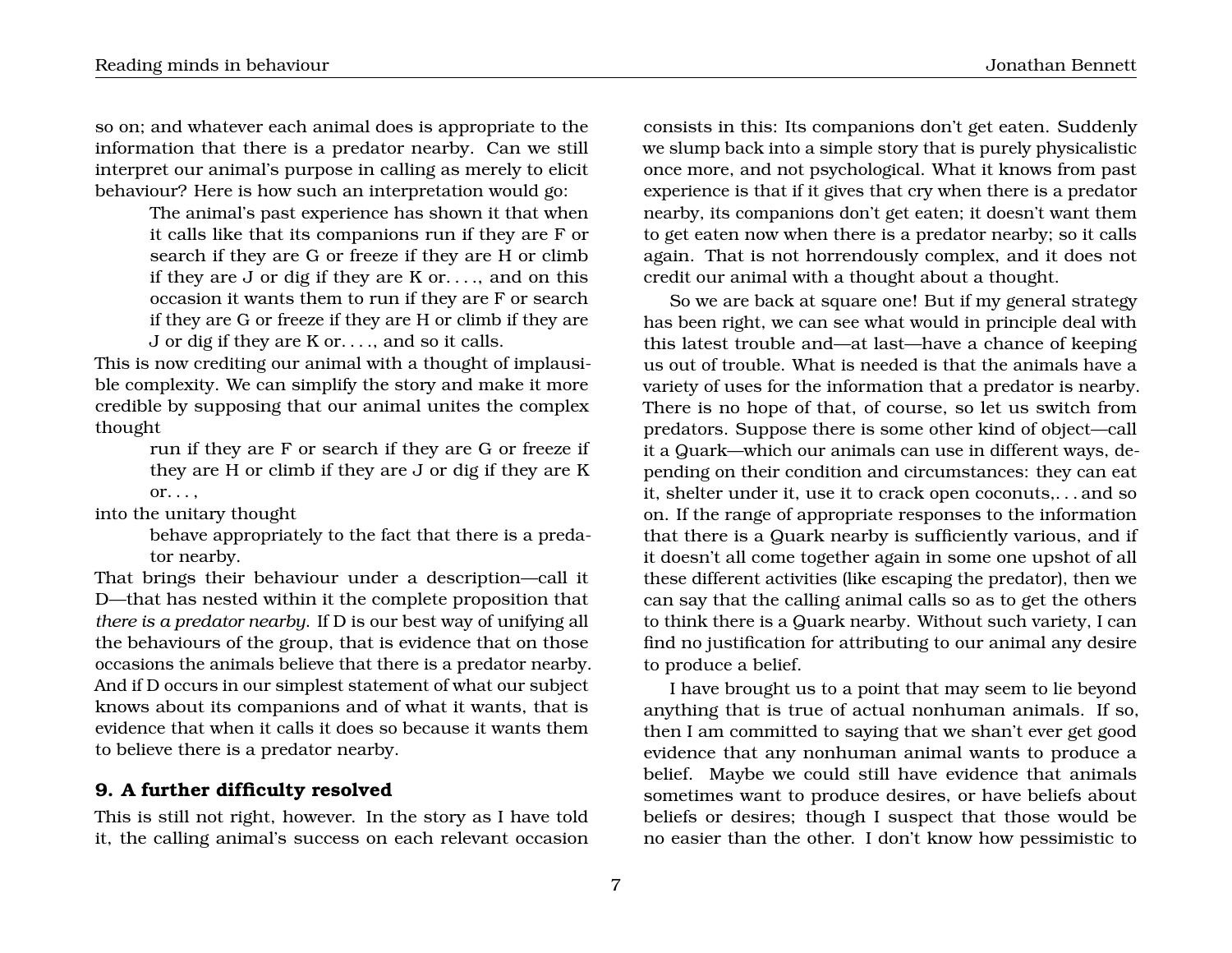so on; and whatever each animal does is appropriate to the information that there is a predator nearby. Can we still interpret our animal's purpose in calling as merely to elicit behaviour? Here is how such an interpretation would go:

> The animal's past experience has shown it that when it calls like that its companions run if they are F or search if they are G or freeze if they are H or climb if they are J or dig if they are K or. . . ., and on this occasion it wants them to run if they are F or search if they are G or freeze if they are H or climb if they are J or dig if they are K or. . . ., and so it calls.

This is now crediting our animal with a thought of implausible complexity. We can simplify the story and make it more credible by supposing that our animal unites the complex thought

> run if they are F or search if they are G or freeze if they are H or climb if they are J or dig if they are K  $or. \ldots$

into the unitary thought

behave appropriately to the fact that there is a predator nearby.

That brings their behaviour under a description—call it D—that has nested within it the complete proposition that *there is a predator nearby*. If D is our best way of unifying all the behaviours of the group, that is evidence that on those occasions the animals believe that there is a predator nearby. And if D occurs in our simplest statement of what our subject knows about its companions and of what it wants, that is evidence that when it calls it does so because it wants them to believe there is a predator nearby.

# **9. A further difficulty resolved**

This is still not right, however. In the story as I have told it, the calling animal's success on each relevant occasion consists in this: Its companions don't get eaten. Suddenly we slump back into a simple story that is purely physicalistic once more, and not psychological. What it knows from past experience is that if it gives that cry when there is a predator nearby, its companions don't get eaten; it doesn't want them to get eaten now when there is a predator nearby; so it calls again. That is not horrendously complex, and it does not credit our animal with a thought about a thought.

So we are back at square one! But if my general strategy has been right, we can see what would in principle deal with this latest trouble and—at last—have a chance of keeping us out of trouble. What is needed is that the animals have a variety of uses for the information that a predator is nearby. There is no hope of that, of course, so let us switch from predators. Suppose there is some other kind of object—call it a Quark—which our animals can use in different ways, depending on their condition and circumstances: they can eat it, shelter under it, use it to crack open coconuts,. . . and so on. If the range of appropriate responses to the information that there is a Quark nearby is sufficiently various, and if it doesn't all come together again in some one upshot of all these different activities (like escaping the predator), then we can say that the calling animal calls so as to get the others to think there is a Quark nearby. Without such variety, I can find no justification for attributing to our animal any desire to produce a belief.

I have brought us to a point that may seem to lie beyond anything that is true of actual nonhuman animals. If so, then I am committed to saying that we shan't ever get good evidence that any nonhuman animal wants to produce a belief. Maybe we could still have evidence that animals sometimes want to produce desires, or have beliefs about beliefs or desires; though I suspect that those would be no easier than the other. I don't know how pessimistic to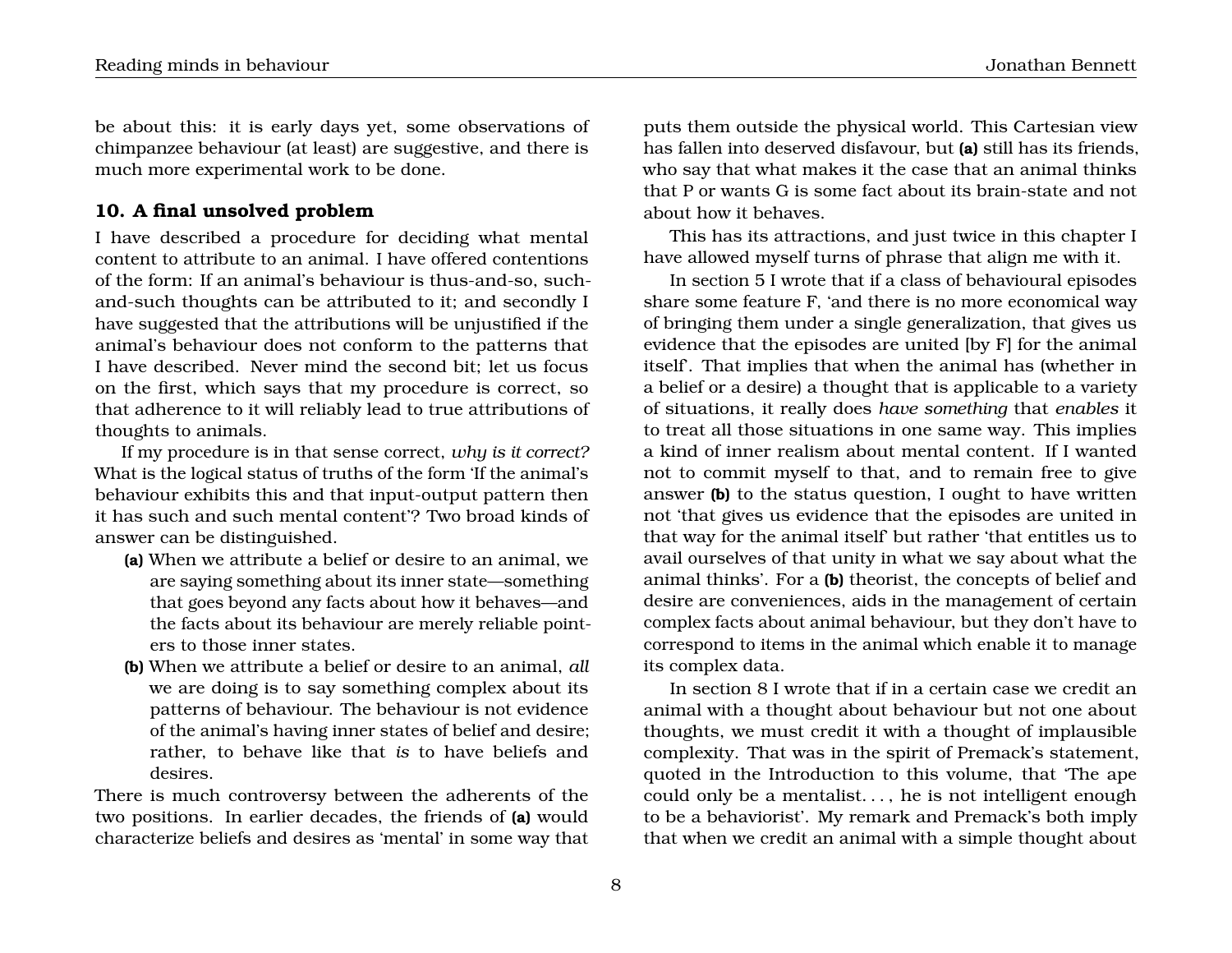be about this: it is early days yet, some observations of chimpanzee behaviour (at least) are suggestive, and there is much more experimental work to be done.

# **10. A final unsolved problem**

I have described a procedure for deciding what mental content to attribute to an animal. I have offered contentions of the form: If an animal's behaviour is thus-and-so, suchand-such thoughts can be attributed to it; and secondly I have suggested that the attributions will be unjustified if the animal's behaviour does not conform to the patterns that I have described. Never mind the second bit; let us focus on the first, which says that my procedure is correct, so that adherence to it will reliably lead to true attributions of thoughts to animals.

If my procedure is in that sense correct, *why is it correct?* What is the logical status of truths of the form 'If the animal's behaviour exhibits this and that input-output pattern then it has such and such mental content'? Two broad kinds of answer can be distinguished.

- **(a)** When we attribute a belief or desire to an animal, we are saying something about its inner state—something that goes beyond any facts about how it behaves—and the facts about its behaviour are merely reliable pointers to those inner states.
- **(b)** When we attribute a belief or desire to an animal, *all* we are doing is to say something complex about its patterns of behaviour. The behaviour is not evidence of the animal's having inner states of belief and desire; rather, to behave like that *is* to have beliefs and desires.

There is much controversy between the adherents of the two positions. In earlier decades, the friends of **(a)** would characterize beliefs and desires as 'mental' in some way that puts them outside the physical world. This Cartesian view has fallen into deserved disfavour, but **(a)** still has its friends, who say that what makes it the case that an animal thinks that P or wants G is some fact about its brain-state and not about how it behaves.

This has its attractions, and just twice in this chapter I have allowed myself turns of phrase that align me with it.

In section 5 I wrote that if a class of behavioural episodes share some feature F, 'and there is no more economical way of bringing them under a single generalization, that gives us evidence that the episodes are united [by F] for the animal itself'. That implies that when the animal has (whether in a belief or a desire) a thought that is applicable to a variety of situations, it really does *have something* that *enables* it to treat all those situations in one same way. This implies a kind of inner realism about mental content. If I wanted not to commit myself to that, and to remain free to give answer **(b)** to the status question, I ought to have written not 'that gives us evidence that the episodes are united in that way for the animal itself' but rather 'that entitles us to avail ourselves of that unity in what we say about what the animal thinks'. For a **(b)** theorist, the concepts of belief and desire are conveniences, aids in the management of certain complex facts about animal behaviour, but they don't have to correspond to items in the animal which enable it to manage its complex data.

In section 8 I wrote that if in a certain case we credit an animal with a thought about behaviour but not one about thoughts, we must credit it with a thought of implausible complexity. That was in the spirit of Premack's statement, quoted in the Introduction to this volume, that 'The ape could only be a mentalist. . . , he is not intelligent enough to be a behaviorist'. My remark and Premack's both imply that when we credit an animal with a simple thought about